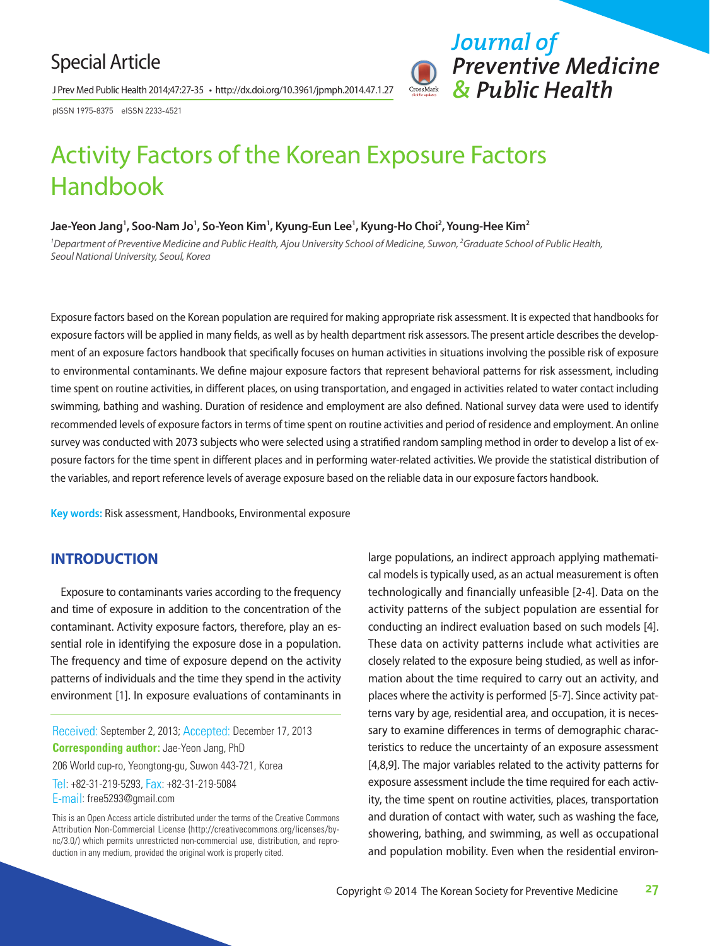# Special Article

J Prev Med Public Health 2014;47:27-35 • http://dx.doi.org/10.3961/jpmph.2014.47.1.27

pISSN 1975-8375 eISSN 2233-4521



# Activity Factors of the Korean Exposure Factors Handbook

#### Jae-Yeon Jang<sup>1</sup>, Soo-Nam Jo<sup>1</sup>, So-Yeon Kim<sup>1</sup>, Kyung-Eun Lee<sup>1</sup>, Kyung-Ho Choi<sup>2</sup>, Young-Hee Kim<sup>2</sup>

<sup>1</sup> Department of Preventive Medicine and Public Health, Ajou University School of Medicine, Suwon, <sup>2</sup>Graduate School of Public Health, *Seoul National University, Seoul, Korea*

Exposure factors based on the Korean population are required for making appropriate risk assessment. It is expected that handbooks for exposure factors will be applied in many fields, as well as by health department risk assessors. The present article describes the development of an exposure factors handbook that specifically focuses on human activities in situations involving the possible risk of exposure to environmental contaminants. We define majour exposure factors that represent behavioral patterns for risk assessment, including time spent on routine activities, in different places, on using transportation, and engaged in activities related to water contact including swimming, bathing and washing. Duration of residence and employment are also defined. National survey data were used to identify recommended levels of exposure factors in terms of time spent on routine activities and period of residence and employment. An online survey was conducted with 2073 subjects who were selected using a stratified random sampling method in order to develop a list of exposure factors for the time spent in different places and in performing water-related activities. We provide the statistical distribution of the variables, and report reference levels of average exposure based on the reliable data in our exposure factors handbook.

**Key words:** Risk assessment, Handbooks, Environmental exposure

# **INTRODUCTION**

Exposure to contaminants varies according to the frequency and time of exposure in addition to the concentration of the contaminant. Activity exposure factors, therefore, play an essential role in identifying the exposure dose in a population. The frequency and time of exposure depend on the activity patterns of individuals and the time they spend in the activity environment [1]. In exposure evaluations of contaminants in

Received: September 2, 2013; Accepted: December 17, 2013 **Corresponding author:** Jae-Yeon Jang, PhD 206 World cup-ro, Yeongtong-gu, Suwon 443-721, Korea Tel: +82-31-219-5293, Fax: +82-31-219-5084 E-mail: free5293@gmail.com

This is an Open Access article distributed under the terms of the Creative Commons Attribution Non-Commercial License (http://creativecommons.org/licenses/bync/3.0/) which permits unrestricted non-commercial use, distribution, and reproduction in any medium, provided the original work is properly cited.

large populations, an indirect approach applying mathematical models is typically used, as an actual measurement is often technologically and financially unfeasible [2-4]. Data on the activity patterns of the subject population are essential for conducting an indirect evaluation based on such models [4]. These data on activity patterns include what activities are closely related to the exposure being studied, as well as information about the time required to carry out an activity, and places where the activity is performed [5-7]. Since activity patterns vary by age, residential area, and occupation, it is necessary to examine differences in terms of demographic characteristics to reduce the uncertainty of an exposure assessment [4,8,9]. The major variables related to the activity patterns for exposure assessment include the time required for each activity, the time spent on routine activities, places, transportation and duration of contact with water, such as washing the face, showering, bathing, and swimming, as well as occupational and population mobility. Even when the residential environ-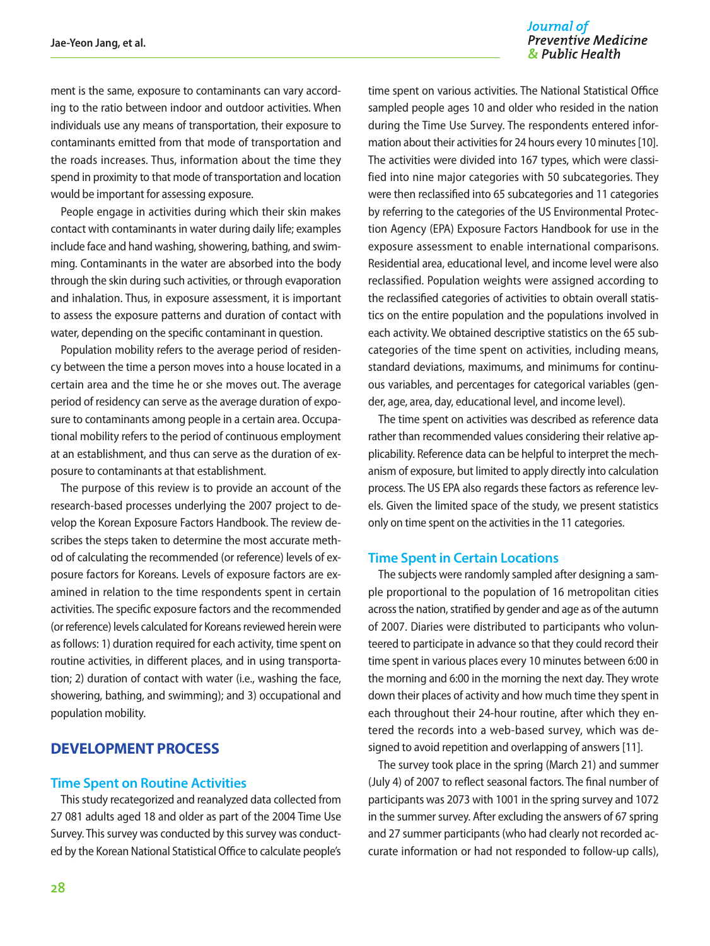#### Journal of **Preventive Medicine** & Public Health

ment is the same, exposure to contaminants can vary according to the ratio between indoor and outdoor activities. When individuals use any means of transportation, their exposure to contaminants emitted from that mode of transportation and the roads increases. Thus, information about the time they spend in proximity to that mode of transportation and location would be important for assessing exposure.

People engage in activities during which their skin makes contact with contaminants in water during daily life; examples include face and hand washing, showering, bathing, and swimming. Contaminants in the water are absorbed into the body through the skin during such activities, or through evaporation and inhalation. Thus, in exposure assessment, it is important to assess the exposure patterns and duration of contact with water, depending on the specific contaminant in question.

Population mobility refers to the average period of residency between the time a person moves into a house located in a certain area and the time he or she moves out. The average period of residency can serve as the average duration of exposure to contaminants among people in a certain area. Occupational mobility refers to the period of continuous employment at an establishment, and thus can serve as the duration of exposure to contaminants at that establishment.

The purpose of this review is to provide an account of the research-based processes underlying the 2007 project to develop the Korean Exposure Factors Handbook. The review describes the steps taken to determine the most accurate method of calculating the recommended (or reference) levels of exposure factors for Koreans. Levels of exposure factors are examined in relation to the time respondents spent in certain activities. The specific exposure factors and the recommended (or reference) levels calculated for Koreans reviewed herein were as follows: 1) duration required for each activity, time spent on routine activities, in different places, and in using transportation; 2) duration of contact with water (i.e., washing the face, showering, bathing, and swimming); and 3) occupational and population mobility.

# **DEVELOPMENT PROCESS**

#### **Time Spent on Routine Activities**

This study recategorized and reanalyzed data collected from 27 081 adults aged 18 and older as part of the 2004 Time Use Survey. This survey was conducted by this survey was conducted by the Korean National Statistical Office to calculate people's

time spent on various activities. The National Statistical Office sampled people ages 10 and older who resided in the nation during the Time Use Survey. The respondents entered information about their activities for 24 hours every 10 minutes [10]. The activities were divided into 167 types, which were classified into nine major categories with 50 subcategories. They were then reclassified into 65 subcategories and 11 categories by referring to the categories of the US Environmental Protection Agency (EPA) Exposure Factors Handbook for use in the exposure assessment to enable international comparisons. Residential area, educational level, and income level were also reclassified. Population weights were assigned according to the reclassified categories of activities to obtain overall statistics on the entire population and the populations involved in each activity. We obtained descriptive statistics on the 65 subcategories of the time spent on activities, including means, standard deviations, maximums, and minimums for continuous variables, and percentages for categorical variables (gender, age, area, day, educational level, and income level).

The time spent on activities was described as reference data rather than recommended values considering their relative applicability. Reference data can be helpful to interpret the mechanism of exposure, but limited to apply directly into calculation process. The US EPA also regards these factors as reference levels. Given the limited space of the study, we present statistics only on time spent on the activities in the 11 categories.

#### **Time Spent in Certain Locations**

The subjects were randomly sampled after designing a sample proportional to the population of 16 metropolitan cities across the nation, stratified by gender and age as of the autumn of 2007. Diaries were distributed to participants who volunteered to participate in advance so that they could record their time spent in various places every 10 minutes between 6:00 in the morning and 6:00 in the morning the next day. They wrote down their places of activity and how much time they spent in each throughout their 24-hour routine, after which they entered the records into a web-based survey, which was designed to avoid repetition and overlapping of answers [11].

The survey took place in the spring (March 21) and summer (July 4) of 2007 to reflect seasonal factors. The final number of participants was 2073 with 1001 in the spring survey and 1072 in the summer survey. After excluding the answers of 67 spring and 27 summer participants (who had clearly not recorded accurate information or had not responded to follow-up calls),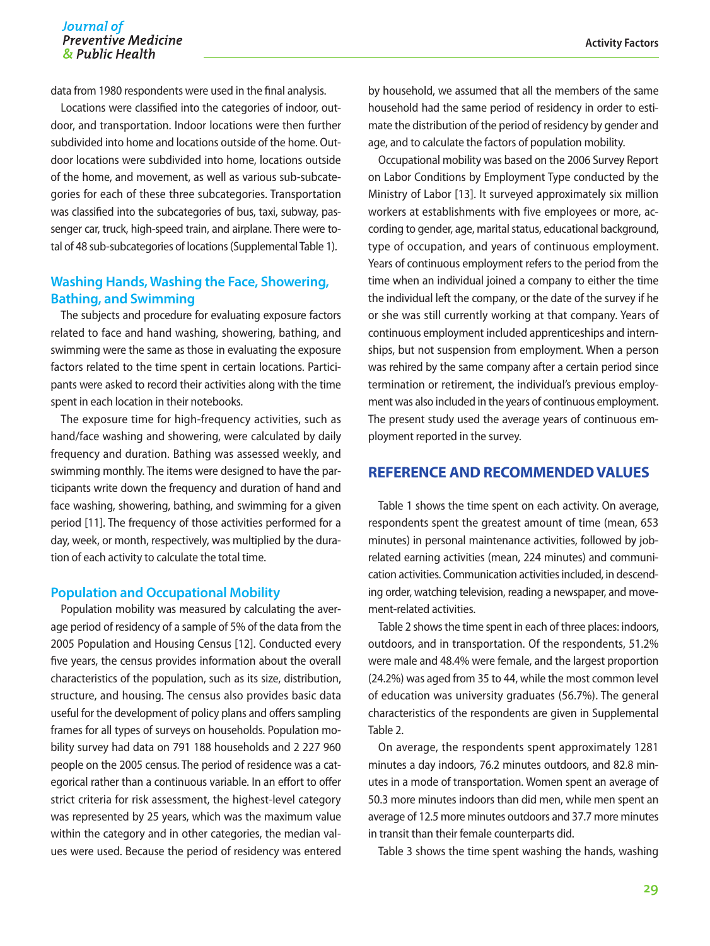data from 1980 respondents were used in the final analysis.

Locations were classified into the categories of indoor, outdoor, and transportation. Indoor locations were then further subdivided into home and locations outside of the home. Outdoor locations were subdivided into home, locations outside of the home, and movement, as well as various sub-subcategories for each of these three subcategories. Transportation was classified into the subcategories of bus, taxi, subway, passenger car, truck, high-speed train, and airplane. There were total of 48 sub-subcategories of locations (Supplemental Table 1).

# **Washing Hands, Washing the Face, Showering, Bathing, and Swimming**

The subjects and procedure for evaluating exposure factors related to face and hand washing, showering, bathing, and swimming were the same as those in evaluating the exposure factors related to the time spent in certain locations. Participants were asked to record their activities along with the time spent in each location in their notebooks.

The exposure time for high-frequency activities, such as hand/face washing and showering, were calculated by daily frequency and duration. Bathing was assessed weekly, and swimming monthly. The items were designed to have the participants write down the frequency and duration of hand and face washing, showering, bathing, and swimming for a given period [11]. The frequency of those activities performed for a day, week, or month, respectively, was multiplied by the duration of each activity to calculate the total time.

#### **Population and Occupational Mobility**

Population mobility was measured by calculating the average period of residency of a sample of 5% of the data from the 2005 Population and Housing Census [12]. Conducted every five years, the census provides information about the overall characteristics of the population, such as its size, distribution, structure, and housing. The census also provides basic data useful for the development of policy plans and offers sampling frames for all types of surveys on households. Population mobility survey had data on 791 188 households and 2 227 960 people on the 2005 census. The period of residence was a categorical rather than a continuous variable. In an effort to offer strict criteria for risk assessment, the highest-level category was represented by 25 years, which was the maximum value within the category and in other categories, the median values were used. Because the period of residency was entered

by household, we assumed that all the members of the same household had the same period of residency in order to estimate the distribution of the period of residency by gender and age, and to calculate the factors of population mobility.

Occupational mobility was based on the 2006 Survey Report on Labor Conditions by Employment Type conducted by the Ministry of Labor [13]. It surveyed approximately six million workers at establishments with five employees or more, according to gender, age, marital status, educational background, type of occupation, and years of continuous employment. Years of continuous employment refers to the period from the time when an individual joined a company to either the time the individual left the company, or the date of the survey if he or she was still currently working at that company. Years of continuous employment included apprenticeships and internships, but not suspension from employment. When a person was rehired by the same company after a certain period since termination or retirement, the individual's previous employment was also included in the years of continuous employment. The present study used the average years of continuous employment reported in the survey.

## **REFERENCE AND RECOMMENDED VALUES**

Table 1 shows the time spent on each activity. On average, respondents spent the greatest amount of time (mean, 653 minutes) in personal maintenance activities, followed by jobrelated earning activities (mean, 224 minutes) and communication activities. Communication activities included, in descending order, watching television, reading a newspaper, and movement-related activities.

Table 2 shows the time spent in each of three places: indoors, outdoors, and in transportation. Of the respondents, 51.2% were male and 48.4% were female, and the largest proportion (24.2%) was aged from 35 to 44, while the most common level of education was university graduates (56.7%). The general characteristics of the respondents are given in Supplemental Table 2.

On average, the respondents spent approximately 1281 minutes a day indoors, 76.2 minutes outdoors, and 82.8 minutes in a mode of transportation. Women spent an average of 50.3 more minutes indoors than did men, while men spent an average of 12.5 more minutes outdoors and 37.7 more minutes in transit than their female counterparts did.

Table 3 shows the time spent washing the hands, washing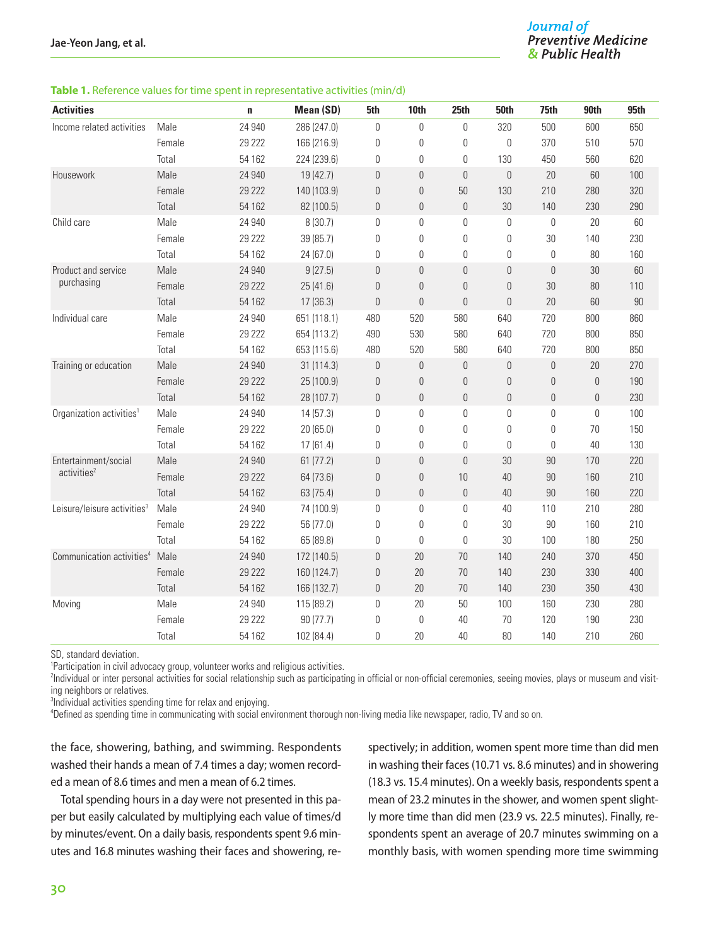#### **Table 1.** Reference values for time spent in representative activities (min/d)

| <b>Activities</b>                       |        | $\mathbf n$ | Mean (SD)   | 5th              | 10th             | 25th             | <b>50th</b>      | 75th             | 90th             | <b>95th</b> |
|-----------------------------------------|--------|-------------|-------------|------------------|------------------|------------------|------------------|------------------|------------------|-------------|
| Income related activities               | Male   | 24 940      | 286 (247.0) | 0                | 0                | $\boldsymbol{0}$ | 320              | 500              | 600              | 650         |
|                                         | Female | 29 222      | 166 (216.9) | 0                | 0                | 0                | $\theta$         | 370              | 510              | 570         |
|                                         | Total  | 54 162      | 224 (239.6) | 0                | 0                | 0                | 130              | 450              | 560              | 620         |
| Housework                               | Male   | 24 940      | 19 (42.7)   | $\mathbb O$      | $\theta$         | $\overline{0}$   | $\theta$         | 20               | 60               | 100         |
|                                         | Female | 29 222      | 140 (103.9) | $\mathbb O$      | 0                | 50               | 130              | 210              | 280              | 320         |
|                                         | Total  | 54 162      | 82 (100.5)  | $\mathbb O$      | $\boldsymbol{0}$ | $\boldsymbol{0}$ | 30               | 140              | 230              | 290         |
| Child care                              | Male   | 24 940      | 8(30.7)     | 0                | 0                | $\overline{0}$   | $\theta$         | 0                | 20               | 60          |
|                                         | Female | 29 222      | 39 (85.7)   | 0                | 0                | 0                | $\mathbf 0$      | 30               | 140              | 230         |
|                                         | Total  | 54 162      | 24 (67.0)   | 0                | 0                | 0                | $\mathbf{0}$     | 0                | 80               | 160         |
| Product and service                     | Male   | 24 940      | 9(27.5)     | $\mathbb O$      | $\theta$         | $\overline{0}$   | $\theta$         | $\theta$         | 30               | 60          |
| purchasing                              | Female | 29 222      | 25(41.6)    | $\boldsymbol{0}$ | $\theta$         | $\boldsymbol{0}$ | 0                | 30               | 80               | 110         |
|                                         | Total  | 54 162      | 17(36.3)    | $\boldsymbol{0}$ | $\theta$         | $\boldsymbol{0}$ | $\mathbf{0}$     | 20               | 60               | 90          |
| Individual care                         | Male   | 24 940      | 651 (118.1) | 480              | 520              | 580              | 640              | 720              | 800              | 860         |
|                                         | Female | 29 222      | 654 (113.2) | 490              | 530              | 580              | 640              | 720              | 800              | 850         |
|                                         | Total  | 54 162      | 653 (115.6) | 480              | 520              | 580              | 640              | 720              | 800              | 850         |
| Training or education                   | Male   | 24 940      | 31 (114.3)  | $\boldsymbol{0}$ | $\overline{0}$   | $\overline{0}$   | $\theta$         | $\overline{0}$   | 20               | 270         |
|                                         | Female | 29 222      | 25 (100.9)  | $\mathbb O$      | $\theta$         | $\mathbf 0$      | $\theta$         | $\theta$         | $\overline{0}$   | 190         |
|                                         | Total  | 54 162      | 28 (107.7)  | $\mathbb O$      | $\mathbb O$      | $\boldsymbol{0}$ | $\boldsymbol{0}$ | $\boldsymbol{0}$ | $\boldsymbol{0}$ | 230         |
| Organization activities <sup>1</sup>    | Male   | 24 940      | 14(57.3)    | 0                | 0                | $\overline{0}$   | $\theta$         | 0                | $\mathbf 0$      | 100         |
|                                         | Female | 29 222      | 20 (65.0)   | 0                | 0                | 0                | $\theta$         | 0                | 70               | 150         |
|                                         | Total  | 54 162      | 17(61.4)    | 0                | 0                | 0                | $\theta$         | 0                | 40               | 130         |
| Entertainment/social                    | Male   | 24 940      | 61(77.2)    | $\mathbb O$      | $\theta$         | $\overline{0}$   | 30               | 90               | 170              | 220         |
| activities <sup>2</sup>                 | Female | 29 222      | 64 (73.6)   | $\mathbb O$      | $\boldsymbol{0}$ | 10               | 40               | 90               | 160              | 210         |
|                                         | Total  | 54 162      | 63 (75.4)   | $\mathbb O$      | $\mathbf 0$      | $\boldsymbol{0}$ | 40               | 90               | 160              | 220         |
| Leisure/leisure activities <sup>3</sup> | Male   | 24 940      | 74 (100.9)  | 0                | 0                | $\mathbf 0$      | 40               | 110              | 210              | 280         |
|                                         | Female | 29 222      | 56 (77.0)   | 0                | 0                | 0                | 30               | 90               | 160              | 210         |
|                                         | Total  | 54 162      | 65 (89.8)   | 0                | $\theta$         | 0                | 30               | 100              | 180              | 250         |
| Communication activities <sup>4</sup>   | Male   | 24 940      | 172 (140.5) | $\mathbb O$      | 20               | 70               | 140              | 240              | 370              | 450         |
|                                         | Female | 29 222      | 160 (124.7) | $\mathbb O$      | 20               | 70               | 140              | 230              | 330              | 400         |
|                                         | Total  | 54 162      | 166 (132.7) | $\mathbb O$      | 20               | 70               | 140              | 230              | 350              | 430         |
| Moving                                  | Male   | 24 940      | 115 (89.2)  | 0                | 20               | 50               | 100              | 160              | 230              | 280         |
|                                         | Female | 29 222      | 90 (77.7)   | 0                | $\theta$         | 40               | 70               | 120              | 190              | 230         |
|                                         | Total  | 54 162      | 102 (84.4)  | 0                | 20               | 40               | 80               | 140              | 210              | 260         |

SD, standard deviation.

1 Participation in civil advocacy group, volunteer works and religious activities.

2 Individual or inter personal activities for social relationship such as participating in official or non-official ceremonies, seeing movies, plays or museum and visiting neighbors or relatives.

3 Individual activities spending time for relax and enjoying.

4 Defined as spending time in communicating with social environment thorough non-living media like newspaper, radio, TV and so on.

the face, showering, bathing, and swimming. Respondents washed their hands a mean of 7.4 times a day; women recorded a mean of 8.6 times and men a mean of 6.2 times.

Total spending hours in a day were not presented in this paper but easily calculated by multiplying each value of times/d by minutes/event. On a daily basis, respondents spent 9.6 minutes and 16.8 minutes washing their faces and showering, respectively; in addition, women spent more time than did men in washing their faces (10.71 vs. 8.6 minutes) and in showering (18.3 vs. 15.4 minutes). On a weekly basis, respondents spent a mean of 23.2 minutes in the shower, and women spent slightly more time than did men (23.9 vs. 22.5 minutes). Finally, respondents spent an average of 20.7 minutes swimming on a monthly basis, with women spending more time swimming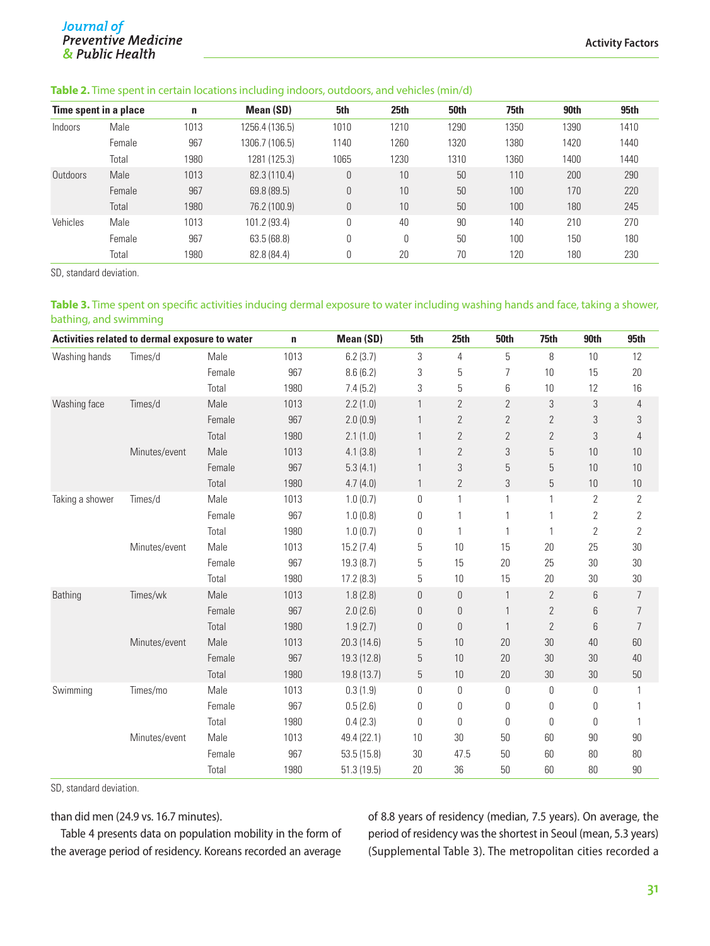# **Journal of**<br>Preventive Medicine & Public Health

#### **Table 2.** Time spent in certain locations including indoors, outdoors, and vehicles (min/d)

|          | Time spent in a place | n    | <b>Mean (SD)</b> | 5th  | 25th | 50th | 75th | 90th | 95th |
|----------|-----------------------|------|------------------|------|------|------|------|------|------|
| Indoors  | Male                  | 1013 | 1256.4 (136.5)   | 1010 | 1210 | 1290 | 1350 | 1390 | 1410 |
|          | Female                | 967  | 1306.7 (106.5)   | 1140 | 1260 | 1320 | 1380 | 1420 | 1440 |
|          | Total                 | 1980 | 1281 (125.3)     | 1065 | 1230 | 1310 | 1360 | 1400 | 1440 |
| Outdoors | Male                  | 1013 | 82.3 (110.4)     | 0    | 10   | 50   | 110  | 200  | 290  |
|          | Female                | 967  | 69.8 (89.5)      | 0    | 10   | 50   | 100  | 170  | 220  |
|          | Total                 | 1980 | 76.2 (100.9)     | 0    | 10   | 50   | 100  | 180  | 245  |
| Vehicles | Male                  | 1013 | 101.2 (93.4)     | 0    | 40   | 90   | 140  | 210  | 270  |
|          | Female                | 967  | 63.5(68.8)       | 0    | 0    | 50   | 100  | 150  | 180  |
|          | Total                 | 1980 | 82.8 (84.4)      | 0    | 20   | 70   | 120  | 180  | 230  |

SD, standard deviation.

#### **Table 3.** Time spent on specific activities inducing dermal exposure to water including washing hands and face, taking a shower, bathing, and swimming

| Activities related to dermal exposure to water |               |        | $\mathbf n$ | Mean (SD)   | 5th            | 25 <sub>th</sub> | <b>50th</b>      | 75th             | 90th           | 95th           |
|------------------------------------------------|---------------|--------|-------------|-------------|----------------|------------------|------------------|------------------|----------------|----------------|
| Washing hands                                  | Times/d       | Male   | 1013        | 6.2(3.7)    | 3              | 4                | $\mathbf 5$      | 8                | 10             | 12             |
|                                                |               | Female | 967         | 8.6(6.2)    | 3              | 5                | 7                | 10               | 15             | 20             |
|                                                |               | Total  | 1980        | 7.4(5.2)    | 3              | 5                | 6                | 10               | 12             | 16             |
| Washing face                                   | Times/d       | Male   | 1013        | 2.2(1.0)    | 1              | $\overline{2}$   | $\overline{2}$   | 3                | 3              | 4              |
|                                                |               | Female | 967         | 2.0(0.9)    | 1              | $\overline{2}$   | $\overline{2}$   | $\overline{2}$   | 3              | 3              |
|                                                |               | Total  | 1980        | 2.1(1.0)    | 1              | $\overline{2}$   | $\mathbf{2}$     | $\mathbf{2}$     | 3              | $\overline{4}$ |
|                                                | Minutes/event | Male   | 1013        | 4.1(3.8)    | 1              | $\overline{2}$   | $\sqrt{3}$       | 5                | 10             | 10             |
|                                                |               | Female | 967         | 5.3(4.1)    | 1              | 3                | $\overline{5}$   | 5                | 10             | 10             |
|                                                |               | Total  | 1980        | 4.7(4.0)    | $\mathbf{1}$   | $\mathbf{2}$     | $\sqrt{3}$       | 5                | 10             | $10\,$         |
| Taking a shower                                | Times/d       | Male   | 1013        | 1.0(0.7)    | 0              | $\mathbf{1}$     | 1                | 1                | $\mathbf{2}$   | $\overline{2}$ |
|                                                |               | Female | 967         | 1.0(0.8)    | 0              | 1                | 1                | 1                | 2              | $\overline{2}$ |
|                                                |               | Total  | 1980        | 1.0(0.7)    | 0              | 1                | 1                | 1                | $\overline{2}$ | $\overline{2}$ |
|                                                | Minutes/event | Male   | 1013        | 15.2(7.4)   | 5              | 10               | 15               | 20               | 25             | $30\,$         |
|                                                |               | Female | 967         | 19.3(8.7)   | 5              | 15               | 20               | 25               | 30             | $30\,$         |
|                                                |               | Total  | 1980        | 17.2(8.3)   | 5              | 10               | 15               | 20               | 30             | $30\,$         |
| Bathing                                        | Times/wk      | Male   | 1013        | 1.8(2.8)    | $\mathbf{0}$   | $\mathbf 0$      | $\mathbf{1}$     | $\overline{2}$   | 6              | $\overline{7}$ |
|                                                |               | Female | 967         | 2.0(2.6)    | $\mathbf{0}$   | $\mathbf 0$      | $\mathbf{1}$     | $\mathbf{2}$     | 6              | 7              |
|                                                |               | Total  | 1980        | 1.9(2.7)    | $\mathbf{0}$   | 0                | 1                | $\overline{2}$   | 6              | $\overline{7}$ |
|                                                | Minutes/event | Male   | 1013        | 20.3 (14.6) | $\overline{5}$ | 10               | 20               | 30               | 40             | 60             |
|                                                |               | Female | 967         | 19.3 (12.8) | $\overline{5}$ | 10               | 20               | 30               | 30             | 40             |
|                                                |               | Total  | 1980        | 19.8 (13.7) | $\mathbf 5$    | 10               | $20\,$           | 30               | $30\,$         | $50\,$         |
| Swimming                                       | Times/mo      | Male   | 1013        | 0.3(1.9)    | 0              | $\mathbb O$      | $\boldsymbol{0}$ | $\boldsymbol{0}$ | 0              | 1              |
|                                                |               | Female | 967         | 0.5(2.6)    | 0              | $\boldsymbol{0}$ | 0                | $\mathbf 0$      | 0              |                |
|                                                |               | Total  | 1980        | 0.4(2.3)    | 0              | 0                | 0                | 0                | 0              | 1              |
|                                                | Minutes/event | Male   | 1013        | 49.4 (22.1) | 10             | 30               | 50               | 60               | 90             | $90\,$         |
|                                                |               | Female | 967         | 53.5(15.8)  | 30             | 47.5             | $50\,$           | 60               | 80             | $80\,$         |
|                                                |               | Total  | 1980        | 51.3(19.5)  | 20             | 36               | 50               | 60               | 80             | $90\,$         |

SD, standard deviation.

than did men (24.9 vs. 16.7 minutes).

Table 4 presents data on population mobility in the form of the average period of residency. Koreans recorded an average of 8.8 years of residency (median, 7.5 years). On average, the period of residency was the shortest in Seoul (mean, 5.3 years) (Supplemental Table 3). The metropolitan cities recorded a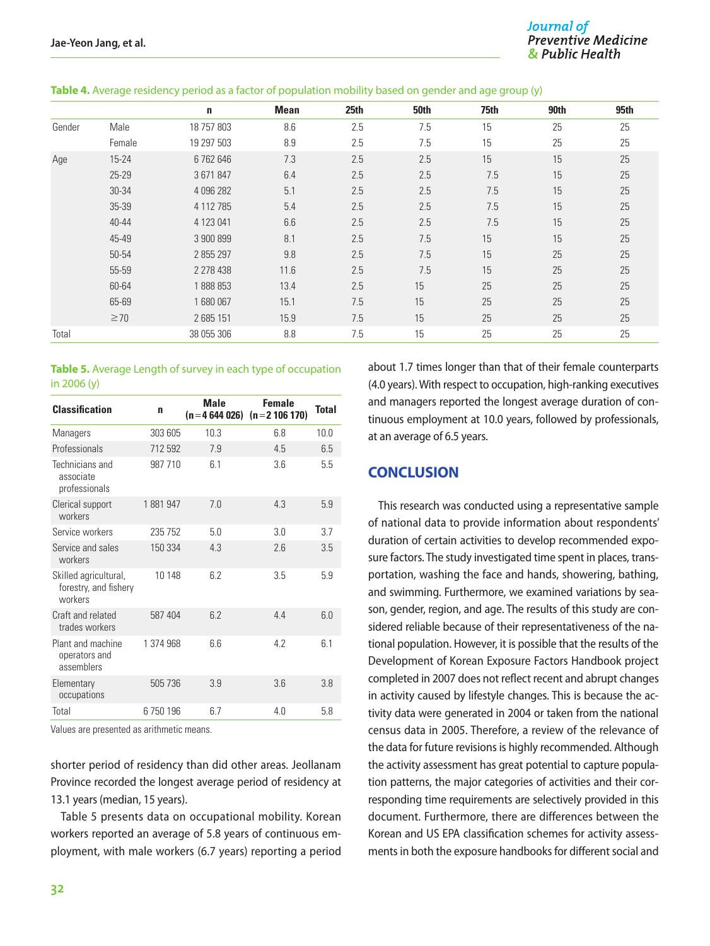|        |           | n          | <b>Mean</b> | 25th | <b>50th</b> | 75th | 90th | 95th |
|--------|-----------|------------|-------------|------|-------------|------|------|------|
| Gender | Male      | 18 757 803 | 8.6         | 2.5  | 7.5         | 15   | 25   | 25   |
|        | Female    | 19 297 503 | 8.9         | 2.5  | 7.5         | 15   | 25   | 25   |
| Age    | 15-24     | 6762646    | 7.3         | 2.5  | 2.5         | 15   | 15   | 25   |
|        | $25 - 29$ | 3 671 847  | 6.4         | 2.5  | 2.5         | 7.5  | 15   | 25   |
|        | 30-34     | 4 096 282  | 5.1         | 2.5  | 2.5         | 7.5  | 15   | 25   |
|        | 35-39     | 4 112 785  | 5.4         | 2.5  | 2.5         | 7.5  | 15   | 25   |
|        | $40 - 44$ | 4 123 041  | 6.6         | 2.5  | 2.5         | 7.5  | 15   | 25   |
|        | 45-49     | 3 900 899  | 8.1         | 2.5  | 7.5         | 15   | 15   | 25   |
|        | 50-54     | 2 855 297  | 9.8         | 2.5  | 7.5         | 15   | 25   | 25   |
|        | 55-59     | 2 278 438  | 11.6        | 2.5  | 7.5         | 15   | 25   | 25   |
|        | 60-64     | 1888853    | 13.4        | 2.5  | 15          | 25   | 25   | 25   |
|        | 65-69     | 1680067    | 15.1        | 7.5  | 15          | 25   | 25   | 25   |
|        | $\geq 70$ | 2 685 151  | 15.9        | 7.5  | 15          | 25   | 25   | 25   |
| Total  |           | 38 055 306 | 8.8         | 7.5  | 15          | 25   | 25   | 25   |

#### **Table 4.** Average residency period as a factor of population mobility based on gender and age group (y)

#### **Table 5.** Average Length of survey in each type of occupation in 2006 (y)

| <b>Classification</b>                                     | n         | <b>Male</b> | <b>Female</b><br>$(n=4644026)$ $(n=2106170)$ | <b>Total</b> |
|-----------------------------------------------------------|-----------|-------------|----------------------------------------------|--------------|
| Managers                                                  | 303 605   | 10.3        | 6.8                                          | 10.0         |
| Professionals                                             | 712 592   | 79          | 45                                           | 6.5          |
| Technicians and<br>associate<br>professionals             | 987 710   | 61          | 36                                           | 55           |
| Clerical support<br>workers                               | 1881947   | 70          | 43                                           | 5.9          |
| Service workers                                           | 235 752   | 5.0         | 3.0                                          | 3.7          |
| Service and sales<br>workers                              | 150 334   | 4.3         | 2.6                                          | 3.5          |
| Skilled agricultural,<br>forestry, and fishery<br>workers | 10 148    | 62          | 3.5                                          | 5.9          |
| Craft and related<br>trades workers                       | 587 404   | 62          | 44                                           | 60           |
| Plant and machine<br>operators and<br>assemblers          | 1 374 968 | 66          | 42                                           | 61           |
| Elementary<br>occupations                                 | 505 736   | 3.9         | 3.6                                          | 3.8          |
| Total                                                     | 6750196   | 6.7         | 4.0                                          | 5.8          |

Values are presented as arithmetic means.

shorter period of residency than did other areas. Jeollanam Province recorded the longest average period of residency at 13.1 years (median, 15 years).

Table 5 presents data on occupational mobility. Korean workers reported an average of 5.8 years of continuous employment, with male workers (6.7 years) reporting a period

about 1.7 times longer than that of their female counterparts (4.0 years). With respect to occupation, high-ranking executives and managers reported the longest average duration of continuous employment at 10.0 years, followed by professionals, at an average of 6.5 years.

#### **CONCLUSION**

This research was conducted using a representative sample of national data to provide information about respondents' duration of certain activities to develop recommended exposure factors. The study investigated time spent in places, transportation, washing the face and hands, showering, bathing, and swimming. Furthermore, we examined variations by season, gender, region, and age. The results of this study are considered reliable because of their representativeness of the national population. However, it is possible that the results of the Development of Korean Exposure Factors Handbook project completed in 2007 does not reflect recent and abrupt changes in activity caused by lifestyle changes. This is because the activity data were generated in 2004 or taken from the national census data in 2005. Therefore, a review of the relevance of the data for future revisions is highly recommended. Although the activity assessment has great potential to capture population patterns, the major categories of activities and their corresponding time requirements are selectively provided in this document. Furthermore, there are differences between the Korean and US EPA classification schemes for activity assessments in both the exposure handbooks for different social and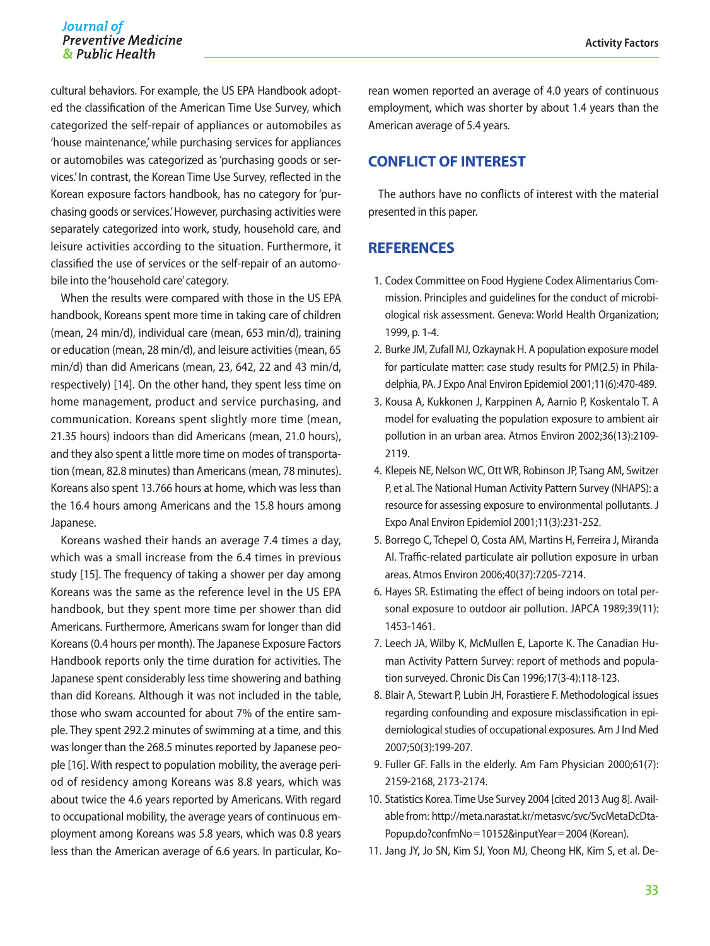#### Journal of **Preventive Medicine** & Public Health

cultural behaviors. For example, the US EPA Handbook adopted the classification of the American Time Use Survey, which categorized the self-repair of appliances or automobiles as 'house maintenance,' while purchasing services for appliances or automobiles was categorized as 'purchasing goods or services.' In contrast, the Korean Time Use Survey, reflected in the Korean exposure factors handbook, has no category for 'purchasing goods or services.' However, purchasing activities were separately categorized into work, study, household care, and leisure activities according to the situation. Furthermore, it classified the use of services or the self-repair of an automobile into the 'household care' category.

When the results were compared with those in the US EPA handbook, Koreans spent more time in taking care of children (mean, 24 min/d), individual care (mean, 653 min/d), training or education (mean, 28 min/d), and leisure activities (mean, 65 min/d) than did Americans (mean, 23, 642, 22 and 43 min/d, respectively) [14]. On the other hand, they spent less time on home management, product and service purchasing, and communication. Koreans spent slightly more time (mean, 21.35 hours) indoors than did Americans (mean, 21.0 hours), and they also spent a little more time on modes of transportation (mean, 82.8 minutes) than Americans (mean, 78 minutes). Koreans also spent 13.766 hours at home, which was less than the 16.4 hours among Americans and the 15.8 hours among Japanese.

Koreans washed their hands an average 7.4 times a day, which was a small increase from the 6.4 times in previous study [15]. The frequency of taking a shower per day among Koreans was the same as the reference level in the US EPA handbook, but they spent more time per shower than did Americans. Furthermore, Americans swam for longer than did Koreans (0.4 hours per month). The Japanese Exposure Factors Handbook reports only the time duration for activities. The Japanese spent considerably less time showering and bathing than did Koreans. Although it was not included in the table, those who swam accounted for about 7% of the entire sample. They spent 292.2 minutes of swimming at a time, and this was longer than the 268.5 minutes reported by Japanese people [16]. With respect to population mobility, the average period of residency among Koreans was 8.8 years, which was about twice the 4.6 years reported by Americans. With regard to occupational mobility, the average years of continuous employment among Koreans was 5.8 years, which was 0.8 years less than the American average of 6.6 years. In particular, Ko-

rean women reported an average of 4.0 years of continuous employment, which was shorter by about 1.4 years than the American average of 5.4 years.

# **CONFLICT OF INTEREST**

The authors have no conflicts of interest with the material presented in this paper.

# **REFERENCES**

- 1. Codex Committee on Food Hygiene Codex Alimentarius Commission. Principles and guidelines for the conduct of microbiological risk assessment. Geneva: World Health Organization; 1999, p. 1-4.
- 2. Burke JM, Zufall MJ, Ozkaynak H. A population exposure model for particulate matter: case study results for PM(2.5) in Philadelphia, PA. J Expo Anal Environ Epidemiol 2001;11(6):470-489.
- 3. Kousa A, Kukkonen J, Karppinen A, Aarnio P, Koskentalo T. A model for evaluating the population exposure to ambient air pollution in an urban area. Atmos Environ 2002;36(13):2109- 2119.
- 4. Klepeis NE, Nelson WC, Ott WR, Robinson JP, Tsang AM, Switzer P, et al. The National Human Activity Pattern Survey (NHAPS): a resource for assessing exposure to environmental pollutants. J Expo Anal Environ Epidemiol 2001;11(3):231-252.
- 5. Borrego C, Tchepel O, Costa AM, Martins H, Ferreira J, Miranda AI. Traffic-related particulate air pollution exposure in urban areas. Atmos Environ 2006;40(37):7205-7214.
- 6. Hayes SR. Estimating the effect of being indoors on total personal exposure to outdoor air pollution. JAPCA 1989;39(11): 1453-1461.
- 7. Leech JA, Wilby K, McMullen E, Laporte K. The Canadian Human Activity Pattern Survey: report of methods and population surveyed. Chronic Dis Can 1996;17(3-4):118-123.
- 8. Blair A, Stewart P, Lubin JH, Forastiere F. Methodological issues regarding confounding and exposure misclassification in epidemiological studies of occupational exposures. Am J Ind Med 2007;50(3):199-207.
- 9. Fuller GF. Falls in the elderly. Am Fam Physician 2000;61(7): 2159-2168, 2173-2174.
- 10. Statistics Korea. Time Use Survey 2004 [cited 2013 Aug 8]. Available from: http://meta.narastat.kr/metasvc/svc/SvcMetaDcDta-Popup.do?confmNo=10152&inputYear=2004 (Korean).
- 11. Jang JY, Jo SN, Kim SJ, Yoon MJ, Cheong HK, Kim S, et al. De-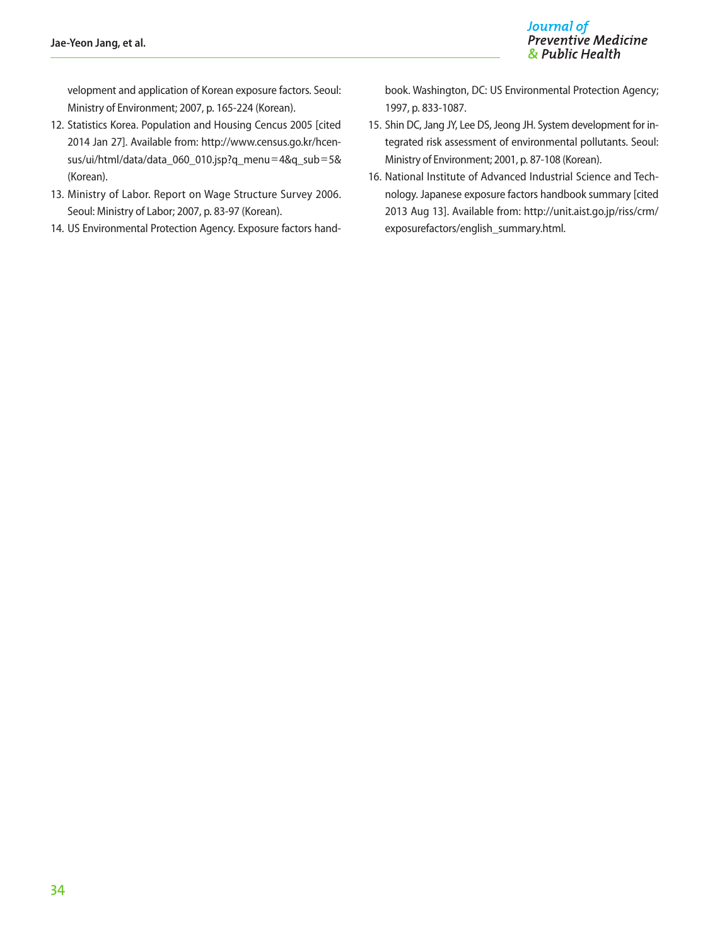velopment and application of Korean exposure factors. Seoul: Ministry of Environment; 2007, p. 165-224 (Korean).

- 12. Statistics Korea. Population and Housing Cencus 2005 [cited 2014 Jan 27]. Available from: http://www.census.go.kr/hcensus/ui/html/data/data\_060\_010.jsp?q\_menu=4&q\_sub=5& (Korean).
- 13. Ministry of Labor. Report on Wage Structure Survey 2006. Seoul: Ministry of Labor; 2007, p. 83-97 (Korean).
- 14. US Environmental Protection Agency. Exposure factors hand-

book. Washington, DC: US Environmental Protection Agency; 1997, p. 833-1087.

- 15. Shin DC, Jang JY, Lee DS, Jeong JH. System development for integrated risk assessment of environmental pollutants. Seoul: Ministry of Environment; 2001, p. 87-108 (Korean).
- 16. National Institute of Advanced Industrial Science and Technology. Japanese exposure factors handbook summary [cited 2013 Aug 13]. Available from: http://unit.aist.go.jp/riss/crm/ exposurefactors/english\_summary.html.